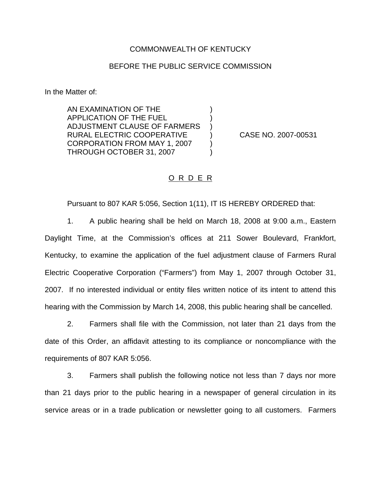## COMMONWEALTH OF KENTUCKY

## BEFORE THE PUBLIC SERVICE COMMISSION

) ) )

) )

In the Matter of:

AN EXAMINATION OF THE APPLICATION OF THE FUEL ADJUSTMENT CLAUSE OF FARMERS RURAL ELECTRIC COOPERATIVE CORPORATION FROM MAY 1, 2007 THROUGH OCTOBER 31, 2007

) CASE NO. 2007-00531

## O R D E R

Pursuant to 807 KAR 5:056, Section 1(11), IT IS HEREBY ORDERED that:

1. A public hearing shall be held on March 18, 2008 at 9:00 a.m., Eastern Daylight Time, at the Commission's offices at 211 Sower Boulevard, Frankfort, Kentucky, to examine the application of the fuel adjustment clause of Farmers Rural Electric Cooperative Corporation ("Farmers") from May 1, 2007 through October 31, 2007. If no interested individual or entity files written notice of its intent to attend this hearing with the Commission by March 14, 2008, this public hearing shall be cancelled.

2. Farmers shall file with the Commission, not later than 21 days from the date of this Order, an affidavit attesting to its compliance or noncompliance with the requirements of 807 KAR 5:056.

3. Farmers shall publish the following notice not less than 7 days nor more than 21 days prior to the public hearing in a newspaper of general circulation in its service areas or in a trade publication or newsletter going to all customers. Farmers